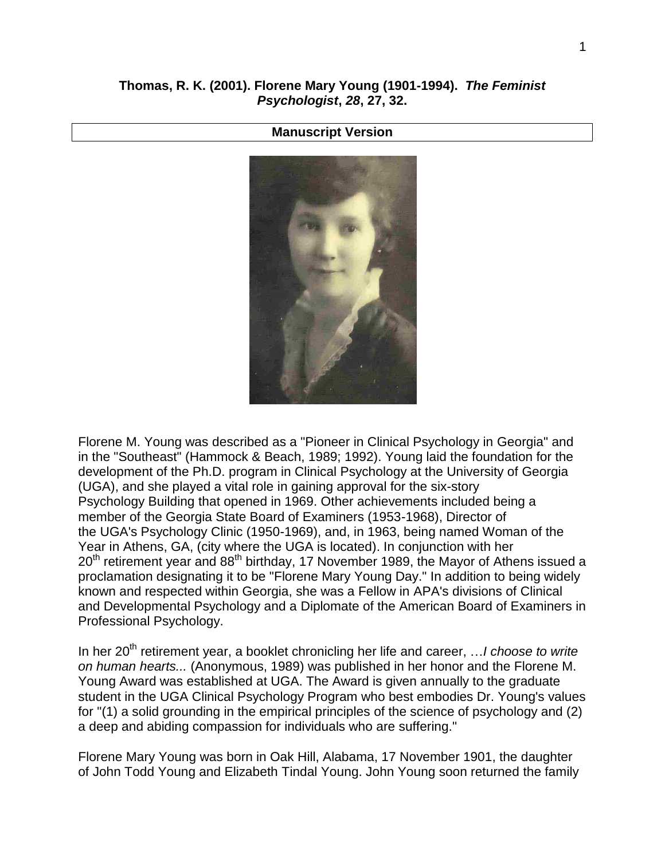## **Manuscript Version**



Florene M. Young was described as a "Pioneer in Clinical Psychology in Georgia" and in the "Southeast" (Hammock & Beach, 1989; 1992). Young laid the foundation for the development of the Ph.D. program in Clinical Psychology at the University of Georgia (UGA), and she played a vital role in gaining approval for the six-story Psychology Building that opened in 1969. Other achievements included being a member of the Georgia State Board of Examiners (1953-1968), Director of the UGA's Psychology Clinic (1950-1969), and, in 1963, being named Woman of the Year in Athens, GA, (city where the UGA is located). In conjunction with her  $20<sup>th</sup>$  retirement year and 88<sup>th</sup> birthday, 17 November 1989, the Mayor of Athens issued a proclamation designating it to be "Florene Mary Young Day." In addition to being widely known and respected within Georgia, she was a Fellow in APA's divisions of Clinical and Developmental Psychology and a Diplomate of the American Board of Examiners in Professional Psychology.

In her 20<sup>th</sup> retirement year, a booklet chronicling her life and career, ... I *choose to write on human hearts...* (Anonymous, 1989) was published in her honor and the Florene M. Young Award was established at UGA. The Award is given annually to the graduate student in the UGA Clinical Psychology Program who best embodies Dr. Young's values for "(1) a solid grounding in the empirical principles of the science of psychology and (2) a deep and abiding compassion for individuals who are suffering."

Florene Mary Young was born in Oak Hill, Alabama, 17 November 1901, the daughter of John Todd Young and Elizabeth Tindal Young. John Young soon returned the family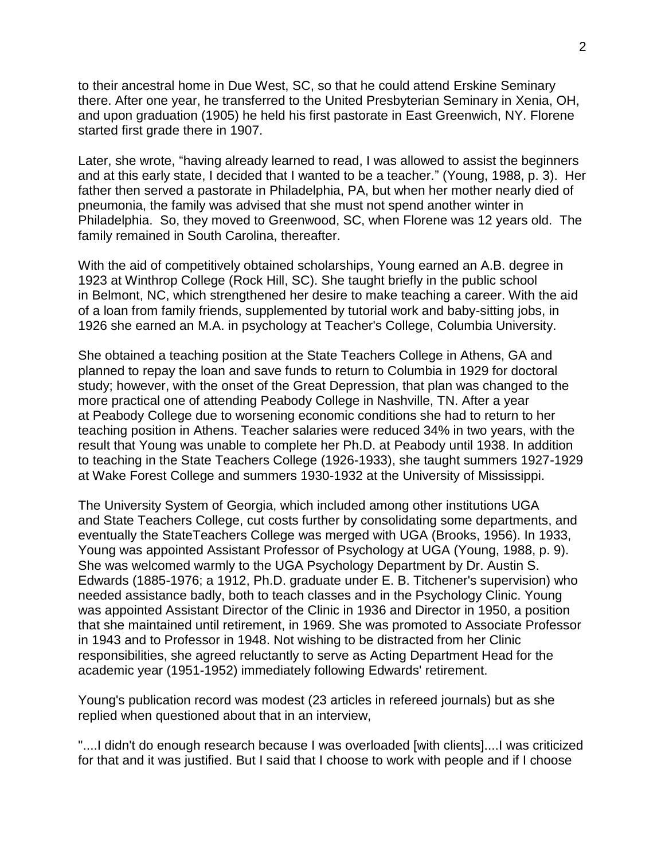to their ancestral home in Due West, SC, so that he could attend Erskine Seminary there. After one year, he transferred to the United Presbyterian Seminary in Xenia, OH, and upon graduation (1905) he held his first pastorate in East Greenwich, NY. Florene started first grade there in 1907.

Later, she wrote, "having already learned to read, I was allowed to assist the beginners and at this early state, I decided that I wanted to be a teacher." (Young, 1988, p. 3). Her father then served a pastorate in Philadelphia, PA, but when her mother nearly died of pneumonia, the family was advised that she must not spend another winter in Philadelphia. So, they moved to Greenwood, SC, when Florene was 12 years old. The family remained in South Carolina, thereafter.

With the aid of competitively obtained scholarships, Young earned an A.B. degree in 1923 at Winthrop College (Rock Hill, SC). She taught briefly in the public school in Belmont, NC, which strengthened her desire to make teaching a career. With the aid of a loan from family friends, supplemented by tutorial work and baby-sitting jobs, in 1926 she earned an M.A. in psychology at Teacher's College, Columbia University.

She obtained a teaching position at the State Teachers College in Athens, GA and planned to repay the loan and save funds to return to Columbia in 1929 for doctoral study; however, with the onset of the Great Depression, that plan was changed to the more practical one of attending Peabody College in Nashville, TN. After a year at Peabody College due to worsening economic conditions she had to return to her teaching position in Athens. Teacher salaries were reduced 34% in two years, with the result that Young was unable to complete her Ph.D. at Peabody until 1938. In addition to teaching in the State Teachers College (1926-1933), she taught summers 1927-1929 at Wake Forest College and summers 1930-1932 at the University of Mississippi.

The University System of Georgia, which included among other institutions UGA and State Teachers College, cut costs further by consolidating some departments, and eventually the StateTeachers College was merged with UGA (Brooks, 1956). In 1933, Young was appointed Assistant Professor of Psychology at UGA (Young, 1988, p. 9). She was welcomed warmly to the UGA Psychology Department by Dr. Austin S. Edwards (1885-1976; a 1912, Ph.D. graduate under E. B. Titchener's supervision) who needed assistance badly, both to teach classes and in the Psychology Clinic. Young was appointed Assistant Director of the Clinic in 1936 and Director in 1950, a position that she maintained until retirement, in 1969. She was promoted to Associate Professor in 1943 and to Professor in 1948. Not wishing to be distracted from her Clinic responsibilities, she agreed reluctantly to serve as Acting Department Head for the academic year (1951-1952) immediately following Edwards' retirement.

Young's publication record was modest (23 articles in refereed journals) but as she replied when questioned about that in an interview,

"....I didn't do enough research because I was overloaded [with clients]....I was criticized for that and it was justified. But I said that I choose to work with people and if I choose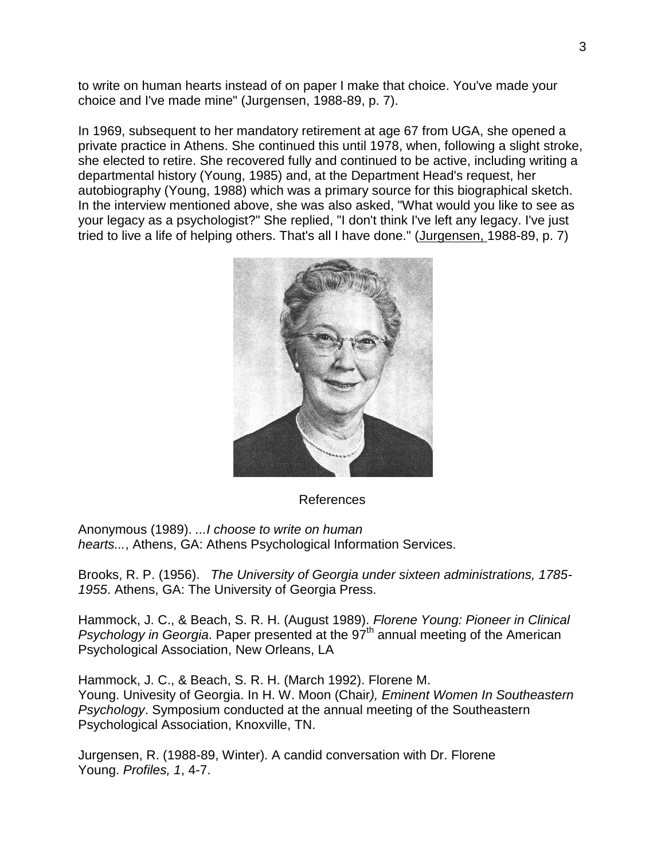to write on human hearts instead of on paper I make that choice. You've made your choice and I've made mine" (Jurgensen, 1988-89, p. 7).

In 1969, subsequent to her mandatory retirement at age 67 from UGA, she opened a private practice in Athens. She continued this until 1978, when, following a slight stroke, she elected to retire. She recovered fully and continued to be active, including writing a departmental history (Young, 1985) and, at the Department Head's request, her autobiography (Young, 1988) which was a primary source for this biographical sketch. In the interview mentioned above, she was also asked, "What would you like to see as your legacy as a psychologist?" She replied, "I don't think I've left any legacy. I've just tried to live a life of helping others. That's all I have done." (Jurgensen, 1988-89, p. 7)



## References

Anonymous (1989). *...I choose to write on human hearts...*, Athens, GA: Athens Psychological Information Services.

Brooks, R. P. (1956). *The University of Georgia under sixteen administrations, 1785- 1955*. Athens, GA: The University of Georgia Press.

Hammock, J. C., & Beach, S. R. H. (August 1989). *Florene Young: Pioneer in Clinical Psychology in Georgia*. Paper presented at the 97<sup>th</sup> annual meeting of the American Psychological Association, New Orleans, LA

Hammock, J. C., & Beach, S. R. H. (March 1992). Florene M. Young. Univesity of Georgia. In H. W. Moon (Chair*), Eminent Women In Southeastern Psychology*. Symposium conducted at the annual meeting of the Southeastern Psychological Association, Knoxville, TN.

Jurgensen, R. (1988-89, Winter). A candid conversation with Dr. Florene Young. *Profiles, 1*, 4-7.